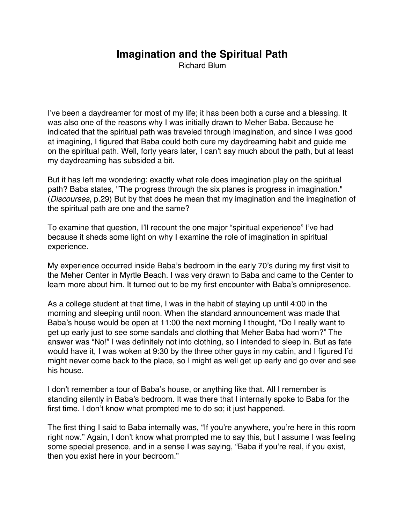## **Imagination and the Spiritual Path**

Richard Blum

I've been a daydreamer for most of my life; it has been both a curse and a blessing. It was also one of the reasons why I was initially drawn to Meher Baba. Because he indicated that the spiritual path was traveled through imagination, and since I was good at imagining, I figured that Baba could both cure my daydreaming habit and guide me on the spiritual path. Well, forty years later, I can't say much about the path, but at least my daydreaming has subsided a bit.

But it has left me wondering: exactly what role does imagination play on the spiritual path? Baba states, "The progress through the six planes is progress in imagination." (*Discourses*, p.29) But by that does he mean that my imagination and the imagination of the spiritual path are one and the same?

To examine that question, I'll recount the one major "spiritual experience" I've had because it sheds some light on why I examine the role of imagination in spiritual experience.

My experience occurred inside Baba's bedroom in the early 70's during my first visit to the Meher Center in Myrtle Beach. I was very drawn to Baba and came to the Center to learn more about him. It turned out to be my first encounter with Baba's omnipresence.

As a college student at that time, I was in the habit of staying up until 4:00 in the morning and sleeping until noon. When the standard announcement was made that Baba's house would be open at 11:00 the next morning I thought, "Do I really want to get up early just to see some sandals and clothing that Meher Baba had worn?" The answer was "No!" I was definitely not into clothing, so I intended to sleep in. But as fate would have it, I was woken at 9:30 by the three other guys in my cabin, and I figured I'd might never come back to the place, so I might as well get up early and go over and see his house.

I don't remember a tour of Baba's house, or anything like that. All I remember is standing silently in Baba's bedroom. It was there that I internally spoke to Baba for the first time. I don't know what prompted me to do so; it just happened.

The first thing I said to Baba internally was, "If you're anywhere, you're here in this room right now." Again, I don't know what prompted me to say this, but I assume I was feeling some special presence, and in a sense I was saying, "Baba if you're real, if you exist, then you exist here in your bedroom."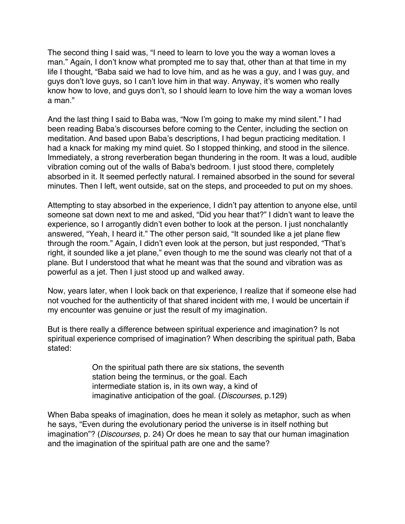The second thing I said was, "I need to learn to love you the way a woman loves a man." Again, I don't know what prompted me to say that, other than at that time in my life I thought, "Baba said we had to love him, and as he was a guy, and I was guy, and guys don't love guys, so I can't love him in that way. Anyway, it's women who really know how to love, and guys don't, so I should learn to love him the way a woman loves a man."

And the last thing I said to Baba was, "Now I'm going to make my mind silent." I had been reading Baba's discourses before coming to the Center, including the section on meditation. And based upon Baba's descriptions, I had begun practicing meditation. I had a knack for making my mind quiet. So I stopped thinking, and stood in the silence. Immediately, a strong reverberation began thundering in the room. It was a loud, audible vibration coming out of the walls of Baba's bedroom. I just stood there, completely absorbed in it. It seemed perfectly natural. I remained absorbed in the sound for several minutes. Then I left, went outside, sat on the steps, and proceeded to put on my shoes.

Attempting to stay absorbed in the experience, I didn't pay attention to anyone else, until someone sat down next to me and asked, "Did you hear that?" I didn't want to leave the experience, so I arrogantly didn't even bother to look at the person. I just nonchalantly answered, "Yeah, I heard it." The other person said, "It sounded like a jet plane flew through the room." Again, I didn't even look at the person, but just responded, "That's right, it sounded like a jet plane," even though to me the sound was clearly not that of a plane. But I understood that what he meant was that the sound and vibration was as powerful as a jet. Then I just stood up and walked away.

Now, years later, when I look back on that experience, I realize that if someone else had not vouched for the authenticity of that shared incident with me, I would be uncertain if my encounter was genuine or just the result of my imagination.

But is there really a difference between spiritual experience and imagination? Is not spiritual experience comprised of imagination? When describing the spiritual path, Baba stated:

> On the spiritual path there are six stations, the seventh station being the terminus, or the goal. Each intermediate station is, in its own way, a kind of imaginative anticipation of the goal. (*Discourses*, p.129)

When Baba speaks of imagination, does he mean it solely as metaphor, such as when he says, "Even during the evolutionary period the universe is in itself nothing but imagination"? (*Discourses*, p. 24) Or does he mean to say that our human imagination and the imagination of the spiritual path are one and the same?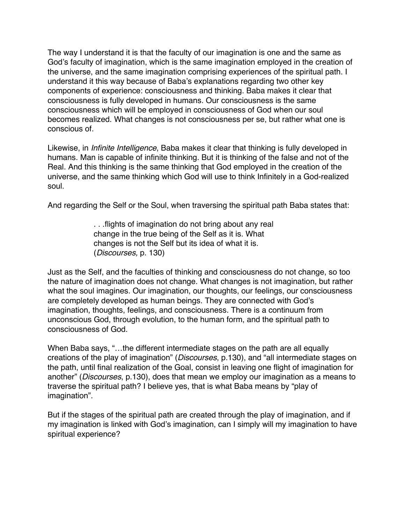The way I understand it is that the faculty of our imagination is one and the same as God's faculty of imagination, which is the same imagination employed in the creation of the universe, and the same imagination comprising experiences of the spiritual path. I understand it this way because of Baba's explanations regarding two other key components of experience: consciousness and thinking. Baba makes it clear that consciousness is fully developed in humans. Our consciousness is the same consciousness which will be employed in consciousness of God when our soul becomes realized. What changes is not consciousness per se, but rather what one is conscious of.

Likewise, in *Infinite Intelligence*, Baba makes it clear that thinking is fully developed in humans. Man is capable of infinite thinking. But it is thinking of the false and not of the Real. And this thinking is the same thinking that God employed in the creation of the universe, and the same thinking which God will use to think Infinitely in a God-realized soul.

And regarding the Self or the Soul, when traversing the spiritual path Baba states that:

. . .flights of imagination do not bring about any real change in the true being of the Self as it is. What changes is not the Self but its idea of what it is. (*Discourses,* p. 130)

Just as the Self, and the faculties of thinking and consciousness do not change, so too the nature of imagination does not change. What changes is not imagination, but rather what the soul imagines. Our imagination, our thoughts, our feelings, our consciousness are completely developed as human beings. They are connected with God's imagination, thoughts, feelings, and consciousness. There is a continuum from unconscious God, through evolution, to the human form, and the spiritual path to consciousness of God.

When Baba says, "…the different intermediate stages on the path are all equally creations of the play of imagination" (*Discourses*, p.130), and "all intermediate stages on the path, until final realization of the Goal, consist in leaving one flight of imagination for another" (*Discourses*, p.130), does that mean we employ our imagination as a means to traverse the spiritual path? I believe yes, that is what Baba means by "play of imagination".

But if the stages of the spiritual path are created through the play of imagination, and if my imagination is linked with God's imagination, can I simply will my imagination to have spiritual experience?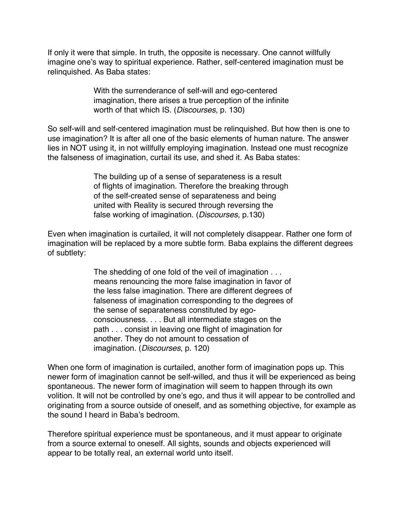If only it were that simple. In truth, the opposite is necessary. One cannot willfully imagine one's way to spiritual experience. Rather, self-centered imagination must be relinquished. As Baba states:

> With the surrenderance of self-will and ego-centered imagination, there arises a true perception of the infinite worth of that which IS. (*Discourses*, p. 130)

So self-will and self-centered imagination must be relinquished. But how then is one to use imagination? It is after all one of the basic elements of human nature. The answer lies in NOT using it, in not willfully employing imagination. Instead one must recognize the falseness of imagination, curtail its use, and shed it. As Baba states:

> The building up of a sense of separateness is a result of flights of imagination. Therefore the breaking through of the self-created sense of separateness and being united with Reality is secured through reversing the false working of imagination. (*Discourses*, p.130)

Even when imagination is curtailed, it will not completely disappear. Rather one form of imagination will be replaced by a more subtle form. Baba explains the different degrees of subtlety:

> The shedding of one fold of the veil of imagination . . . means renouncing the more false imagination in favor of the less false imagination. There are different degrees of falseness of imagination corresponding to the degrees of the sense of separateness constituted by egoconsciousness. . . . But all intermediate stages on the path . . . consist in leaving one flight of imagination for another. They do not amount to cessation of imagination. (*Discourses*, p. 120)

When one form of imagination is curtailed, another form of imagination pops up. This newer form of imagination cannot be self-willed, and thus it will be experienced as being spontaneous. The newer form of imagination will seem to happen through its own volition. It will not be controlled by one's ego, and thus it will appear to be controlled and originating from a source outside of oneself, and as something objective, for example as the sound I heard in Baba's bedroom.

Therefore spiritual experience must be spontaneous, and it must appear to originate from a source external to oneself. All sights, sounds and objects experienced will appear to be totally real, an external world unto itself.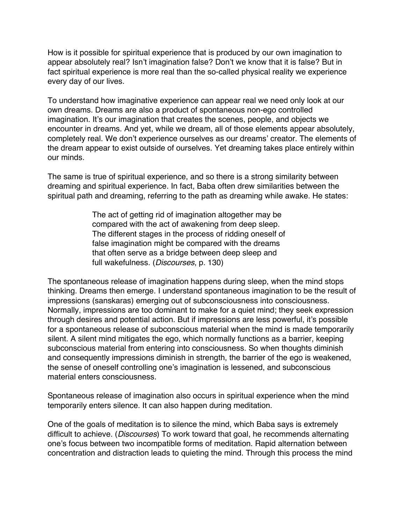How is it possible for spiritual experience that is produced by our own imagination to appear absolutely real? Isn't imagination false? Don't we know that it is false? But in fact spiritual experience is more real than the so-called physical reality we experience every day of our lives.

To understand how imaginative experience can appear real we need only look at our own dreams. Dreams are also a product of spontaneous non-ego controlled imagination. It's our imagination that creates the scenes, people, and objects we encounter in dreams. And yet, while we dream, all of those elements appear absolutely, completely real. We don't experience ourselves as our dreams' creator. The elements of the dream appear to exist outside of ourselves. Yet dreaming takes place entirely within our minds.

The same is true of spiritual experience, and so there is a strong similarity between dreaming and spiritual experience. In fact, Baba often drew similarities between the spiritual path and dreaming, referring to the path as dreaming while awake. He states:

> The act of getting rid of imagination altogether may be compared with the act of awakening from deep sleep. The different stages in the process of ridding oneself of false imagination might be compared with the dreams that often serve as a bridge between deep sleep and full wakefulness. (*Discourses*, p. 130)

The spontaneous release of imagination happens during sleep, when the mind stops thinking. Dreams then emerge. I understand spontaneous imagination to be the result of impressions (sanskaras) emerging out of subconsciousness into consciousness. Normally, impressions are too dominant to make for a quiet mind; they seek expression through desires and potential action. But if impressions are less powerful, it's possible for a spontaneous release of subconscious material when the mind is made temporarily silent. A silent mind mitigates the ego, which normally functions as a barrier, keeping subconscious material from entering into consciousness. So when thoughts diminish and consequently impressions diminish in strength, the barrier of the ego is weakened, the sense of oneself controlling one's imagination is lessened, and subconscious material enters consciousness.

Spontaneous release of imagination also occurs in spiritual experience when the mind temporarily enters silence. It can also happen during meditation.

One of the goals of meditation is to silence the mind, which Baba says is extremely difficult to achieve. (*Discourses*) To work toward that goal, he recommends alternating one's focus between two incompatible forms of meditation. Rapid alternation between concentration and distraction leads to quieting the mind. Through this process the mind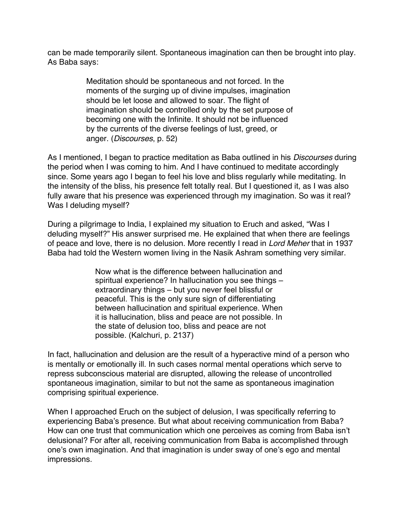can be made temporarily silent. Spontaneous imagination can then be brought into play. As Baba says:

> Meditation should be spontaneous and not forced. In the moments of the surging up of divine impulses, imagination should be let loose and allowed to soar. The flight of imagination should be controlled only by the set purpose of becoming one with the Infinite. It should not be influenced by the currents of the diverse feelings of lust, greed, or anger. (*Discourses*, p. 52)

As I mentioned, I began to practice meditation as Baba outlined in his *Discourses* during the period when I was coming to him. And I have continued to meditate accordingly since. Some years ago I began to feel his love and bliss regularly while meditating. In the intensity of the bliss, his presence felt totally real. But I questioned it, as I was also fully aware that his presence was experienced through my imagination. So was it real? Was I deluding myself?

During a pilgrimage to India, I explained my situation to Eruch and asked, "Was I deluding myself?" His answer surprised me. He explained that when there are feelings of peace and love, there is no delusion. More recently I read in *Lord Meher* that in 1937 Baba had told the Western women living in the Nasik Ashram something very similar.

> Now what is the difference between hallucination and spiritual experience? In hallucination you see things – extraordinary things – but you never feel blissful or peaceful. This is the only sure sign of differentiating between hallucination and spiritual experience. When it is hallucination, bliss and peace are not possible. In the state of delusion too, bliss and peace are not possible. (Kalchuri, p. 2137)

In fact, hallucination and delusion are the result of a hyperactive mind of a person who is mentally or emotionally ill. In such cases normal mental operations which serve to repress subconscious material are disrupted, allowing the release of uncontrolled spontaneous imagination, similar to but not the same as spontaneous imagination comprising spiritual experience.

When I approached Eruch on the subject of delusion, I was specifically referring to experiencing Baba's presence. But what about receiving communication from Baba? How can one trust that communication which one perceives as coming from Baba isn't delusional? For after all, receiving communication from Baba is accomplished through one's own imagination. And that imagination is under sway of one's ego and mental impressions.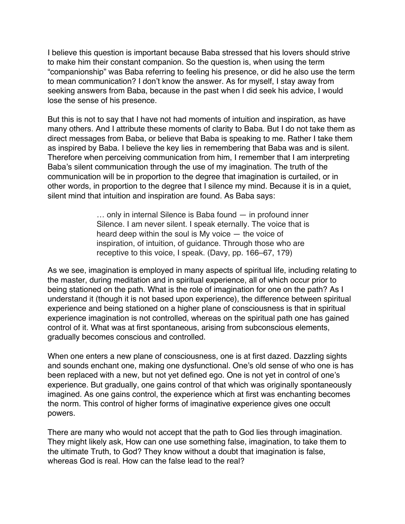I believe this question is important because Baba stressed that his lovers should strive to make him their constant companion. So the question is, when using the term "companionship" was Baba referring to feeling his presence, or did he also use the term to mean communication? I don't know the answer. As for myself, I stay away from seeking answers from Baba, because in the past when I did seek his advice, I would lose the sense of his presence.

But this is not to say that I have not had moments of intuition and inspiration, as have many others. And I attribute these moments of clarity to Baba. But I do not take them as direct messages from Baba, or believe that Baba is speaking to me. Rather I take them as inspired by Baba. I believe the key lies in remembering that Baba was and is silent. Therefore when perceiving communication from him, I remember that I am interpreting Baba's silent communication through the use of my imagination. The truth of the communication will be in proportion to the degree that imagination is curtailed, or in other words, in proportion to the degree that I silence my mind. Because it is in a quiet, silent mind that intuition and inspiration are found. As Baba says:

> … only in internal Silence is Baba found — in profound inner Silence. I am never silent. I speak eternally. The voice that is heard deep within the soul is My voice — the voice of inspiration, of intuition, of guidance. Through those who are receptive to this voice, I speak. (Davy, pp. 166–67, 179)

As we see, imagination is employed in many aspects of spiritual life, including relating to the master, during meditation and in spiritual experience, all of which occur prior to being stationed on the path. What is the role of imagination for one on the path? As I understand it (though it is not based upon experience), the difference between spiritual experience and being stationed on a higher plane of consciousness is that in spiritual experience imagination is not controlled, whereas on the spiritual path one has gained control of it. What was at first spontaneous, arising from subconscious elements, gradually becomes conscious and controlled.

When one enters a new plane of consciousness, one is at first dazed. Dazzling sights and sounds enchant one, making one dysfunctional. One's old sense of who one is has been replaced with a new, but not yet defined ego. One is not yet in control of one's experience. But gradually, one gains control of that which was originally spontaneously imagined. As one gains control, the experience which at first was enchanting becomes the norm. This control of higher forms of imaginative experience gives one occult powers.

There are many who would not accept that the path to God lies through imagination. They might likely ask, How can one use something false, imagination, to take them to the ultimate Truth, to God? They know without a doubt that imagination is false, whereas God is real. How can the false lead to the real?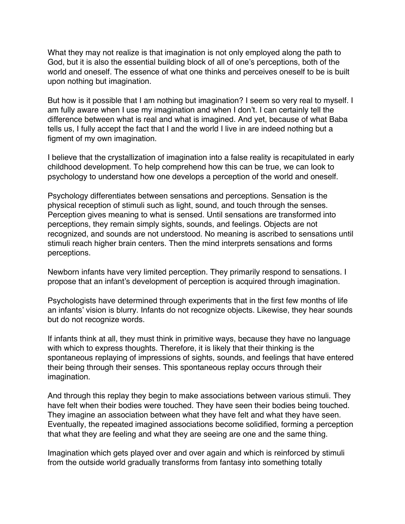What they may not realize is that imagination is not only employed along the path to God, but it is also the essential building block of all of one's perceptions, both of the world and oneself. The essence of what one thinks and perceives oneself to be is built upon nothing but imagination.

But how is it possible that I am nothing but imagination? I seem so very real to myself. I am fully aware when I use my imagination and when I don't. I can certainly tell the difference between what is real and what is imagined. And yet, because of what Baba tells us, I fully accept the fact that I and the world I live in are indeed nothing but a figment of my own imagination.

I believe that the crystallization of imagination into a false reality is recapitulated in early childhood development. To help comprehend how this can be true, we can look to psychology to understand how one develops a perception of the world and oneself.

Psychology differentiates between sensations and perceptions. Sensation is the physical reception of stimuli such as light, sound, and touch through the senses. Perception gives meaning to what is sensed. Until sensations are transformed into perceptions, they remain simply sights, sounds, and feelings. Objects are not recognized, and sounds are not understood. No meaning is ascribed to sensations until stimuli reach higher brain centers. Then the mind interprets sensations and forms perceptions.

Newborn infants have very limited perception. They primarily respond to sensations. I propose that an infant's development of perception is acquired through imagination.

Psychologists have determined through experiments that in the first few months of life an infants' vision is blurry. Infants do not recognize objects. Likewise, they hear sounds but do not recognize words.

If infants think at all, they must think in primitive ways, because they have no language with which to express thoughts. Therefore, it is likely that their thinking is the spontaneous replaying of impressions of sights, sounds, and feelings that have entered their being through their senses. This spontaneous replay occurs through their imagination.

And through this replay they begin to make associations between various stimuli. They have felt when their bodies were touched. They have seen their bodies being touched. They imagine an association between what they have felt and what they have seen. Eventually, the repeated imagined associations become solidified, forming a perception that what they are feeling and what they are seeing are one and the same thing.

Imagination which gets played over and over again and which is reinforced by stimuli from the outside world gradually transforms from fantasy into something totally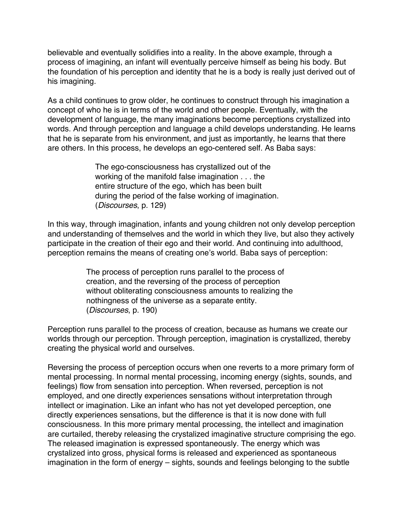believable and eventually solidifies into a reality. In the above example, through a process of imagining, an infant will eventually perceive himself as being his body. But the foundation of his perception and identity that he is a body is really just derived out of his imagining.

As a child continues to grow older, he continues to construct through his imagination a concept of who he is in terms of the world and other people. Eventually, with the development of language, the many imaginations become perceptions crystallized into words. And through perception and language a child develops understanding. He learns that he is separate from his environment, and just as importantly, he learns that there are others. In this process, he develops an ego-centered self. As Baba says:

> The ego-consciousness has crystallized out of the working of the manifold false imagination . . . the entire structure of the ego, which has been built during the period of the false working of imagination. (*Discourses*, p. 129)

In this way, through imagination, infants and young children not only develop perception and understanding of themselves and the world in which they live, but also they actively participate in the creation of their ego and their world. And continuing into adulthood, perception remains the means of creating one's world. Baba says of perception:

> The process of perception runs parallel to the process of creation, and the reversing of the process of perception without obliterating consciousness amounts to realizing the nothingness of the universe as a separate entity. (*Discourses*, p. 190)

Perception runs parallel to the process of creation, because as humans we create our worlds through our perception. Through perception, imagination is crystallized, thereby creating the physical world and ourselves.

Reversing the process of perception occurs when one reverts to a more primary form of mental processing. In normal mental processing, incoming energy (sights, sounds, and feelings) flow from sensation into perception. When reversed, perception is not employed, and one directly experiences sensations without interpretation through intellect or imagination. Like an infant who has not yet developed perception, one directly experiences sensations, but the difference is that it is now done with full consciousness. In this more primary mental processing, the intellect and imagination are curtailed, thereby releasing the crystalized imaginative structure comprising the ego. The released imagination is expressed spontaneously. The energy which was crystalized into gross, physical forms is released and experienced as spontaneous imagination in the form of energy – sights, sounds and feelings belonging to the subtle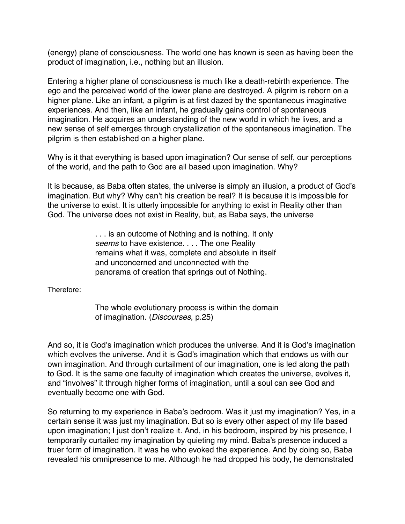(energy) plane of consciousness. The world one has known is seen as having been the product of imagination, i.e., nothing but an illusion.

Entering a higher plane of consciousness is much like a death-rebirth experience. The ego and the perceived world of the lower plane are destroyed. A pilgrim is reborn on a higher plane. Like an infant, a pilgrim is at first dazed by the spontaneous imaginative experiences. And then, like an infant, he gradually gains control of spontaneous imagination. He acquires an understanding of the new world in which he lives, and a new sense of self emerges through crystallization of the spontaneous imagination. The pilgrim is then established on a higher plane.

Why is it that everything is based upon imagination? Our sense of self, our perceptions of the world, and the path to God are all based upon imagination. Why?

It is because, as Baba often states, the universe is simply an illusion, a product of God's imagination. But why? Why can't his creation be real? It is because it is impossible for the universe to exist. It is utterly impossible for anything to exist in Reality other than God. The universe does not exist in Reality, but, as Baba says, the universe

> . . . is an outcome of Nothing and is nothing. It only *seems* to have existence. . . . The one Reality remains what it was, complete and absolute in itself and unconcerned and unconnected with the panorama of creation that springs out of Nothing.

Therefore:

The whole evolutionary process is within the domain of imagination. (*Discourses*, p.25)

And so, it is God's imagination which produces the universe. And it is God's imagination which evolves the universe. And it is God's imagination which that endows us with our own imagination. And through curtailment of our imagination, one is led along the path to God. It is the same one faculty of imagination which creates the universe, evolves it, and "involves" it through higher forms of imagination, until a soul can see God and eventually become one with God.

So returning to my experience in Baba's bedroom. Was it just my imagination? Yes, in a certain sense it was just my imagination. But so is every other aspect of my life based upon imagination; I just don't realize it. And, in his bedroom, inspired by his presence, I temporarily curtailed my imagination by quieting my mind. Baba's presence induced a truer form of imagination. It was he who evoked the experience. And by doing so, Baba revealed his omnipresence to me. Although he had dropped his body, he demonstrated